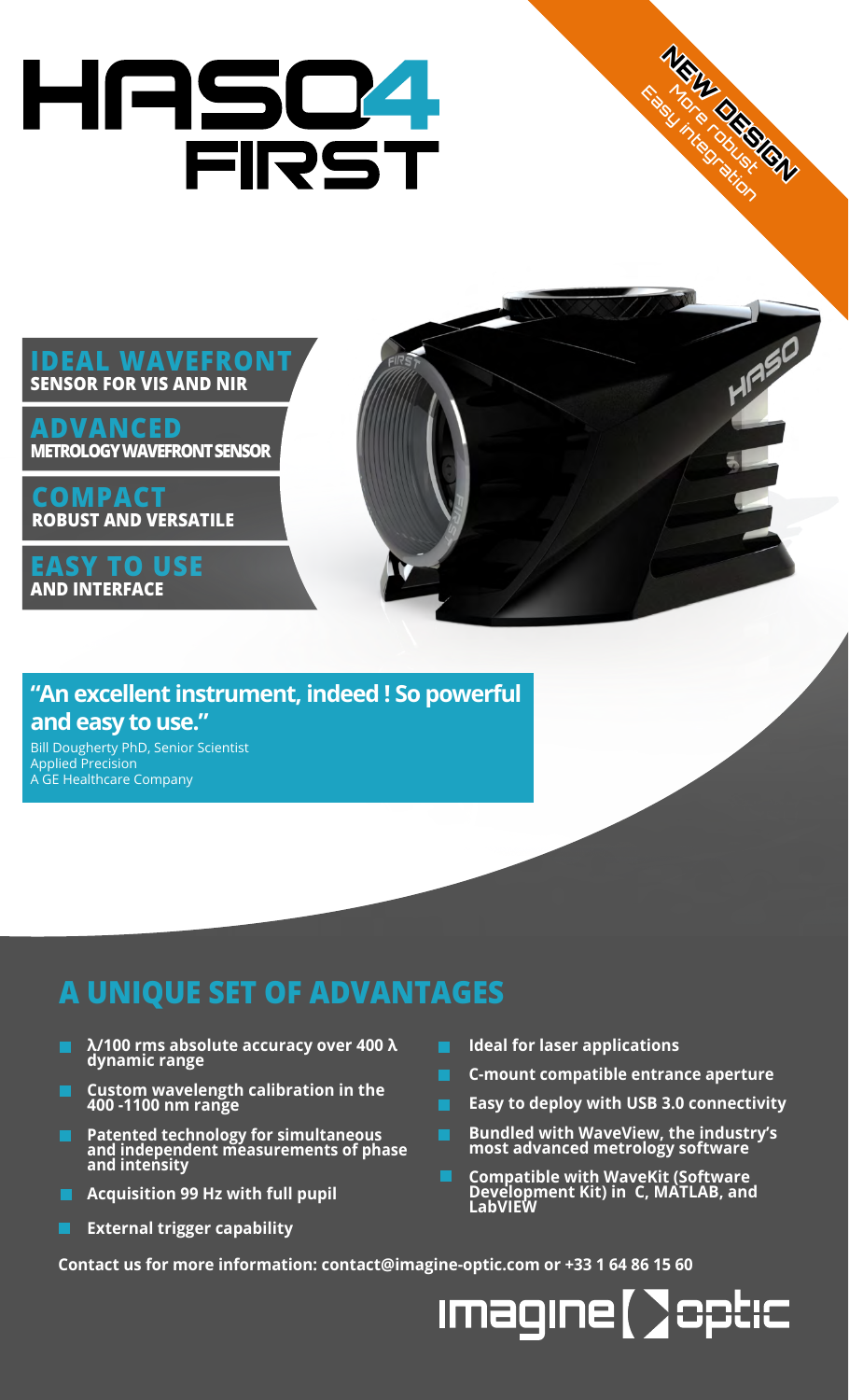# HASC4 **FIRST**

#### **IDEAL WAVEFRONT SENSOR FOR VIS AND NIR**

**ADVANCED METROLOGY WAVEFRONT SENSOR**

**COMPACT ROBUST AND VERSATILE**

**EASY TO USE AND INTERFACE**

### **"An excellent instrument, indeed ! So powerful**

## **and easy to use."**

Bill Dougherty PhD, Senior Scientist Applied Precision A GE Healthcare Company

## **A UNIQUE SET OF ADVANTAGES**

- **λ/100 rms absolute accuracy over 400 λ dynamic range**
- **Custom wavelength calibration in the 400 -1100 nm range**
- **Patented technology for simultaneous and independent measurements of phase and intensity**
- **Acquisition 99 Hz with full pupil**
- **External trigger capability**
- **Ideal for laser applications**
- **C-mount compatible entrance aperture**

NEW DESIGN

Easy Integration

- **Easy to deploy with USB 3.0 connectivity**
- **Bundled with WaveView, the industry's most advanced metrology software**
- **Compatible with WaveKit (Software Development Kit) in C, MATLAB, and LabVIEW**

**Contact us for more information: contact@imagine-optic.com or +33 1 64 86 15 60**

**Imagine [ ] optic**